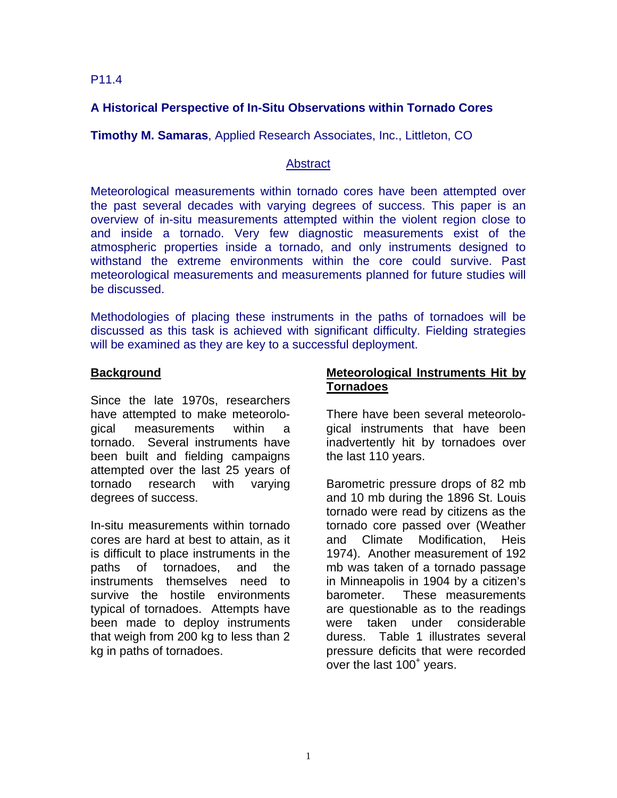### P11.4

# **A Historical Perspective of In-Situ Observations within Tornado Cores**

**Timothy M. Samaras**, Applied Research Associates, Inc., Littleton, CO

### **Abstract**

Meteorological measurements within tornado cores have been attempted over the past several decades with varying degrees of success. This paper is an overview of in-situ measurements attempted within the violent region close to and inside a tornado. Very few diagnostic measurements exist of the atmospheric properties inside a tornado, and only instruments designed to withstand the extreme environments within the core could survive. Past meteorological measurements and measurements planned for future studies will be discussed.

Methodologies of placing these instruments in the paths of tornadoes will be discussed as this task is achieved with significant difficulty. Fielding strategies will be examined as they are key to a successful deployment.

### **Background**

Since the late 1970s, researchers have attempted to make meteorological measurements within a tornado. Several instruments have been built and fielding campaigns attempted over the last 25 years of tornado research with varying degrees of success.

In-situ measurements within tornado cores are hard at best to attain, as it is difficult to place instruments in the paths of tornadoes, and the instruments themselves need to survive the hostile environments typical of tornadoes. Attempts have been made to deploy instruments that weigh from 200 kg to less than 2 kg in paths of tornadoes.

### **Meteorological Instruments Hit by Tornadoes**

There have been several meteorological instruments that have been inadvertently hit by tornadoes over the last 110 years.

Barometric pressure drops of 82 mb and 10 mb during the 1896 St. Louis tornado were read by citizens as the tornado core passed over (Weather and Climate Modification, Heis 1974). Another measurement of 192 mb was taken of a tornado passage in Minneapolis in 1904 by a citizen's barometer. These measurements are questionable as to the readings were taken under considerable duress. Table 1 illustrates several pressure deficits that were recorded over the last  $100<sup>+</sup>$  years.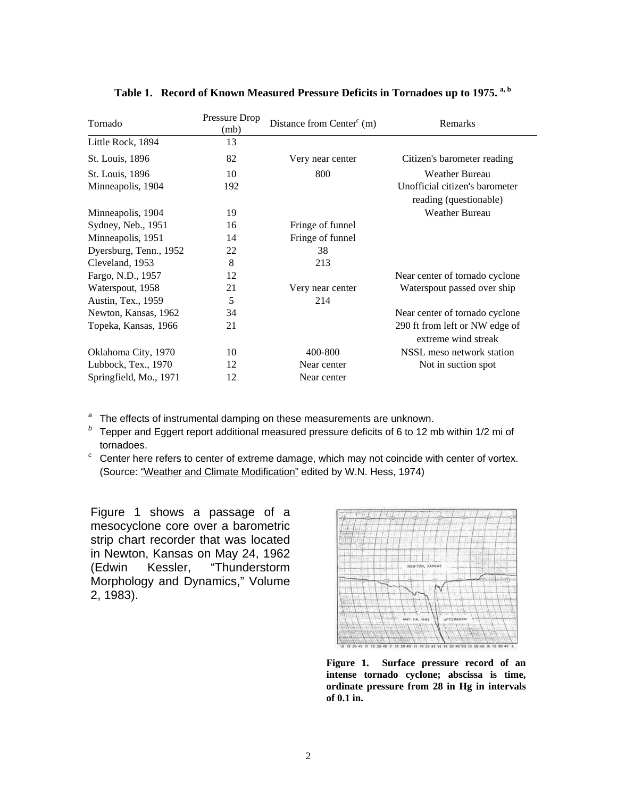| Tornado                | Pressure Drop<br>(mb) | Distance from Center $\text{c}^{\text{c}}$ (m) | Remarks                                                  |
|------------------------|-----------------------|------------------------------------------------|----------------------------------------------------------|
| Little Rock, 1894      | 13                    |                                                |                                                          |
| St. Louis, 1896        | 82                    | Very near center                               | Citizen's barometer reading                              |
| St. Louis, 1896        | 10                    | 800                                            | <b>Weather Bureau</b>                                    |
| Minneapolis, 1904      | 192                   |                                                | Unofficial citizen's barometer<br>reading (questionable) |
| Minneapolis, 1904      | 19                    |                                                | <b>Weather Bureau</b>                                    |
| Sydney, Neb., 1951     | 16                    | Fringe of funnel                               |                                                          |
| Minneapolis, 1951      | 14                    | Fringe of funnel                               |                                                          |
| Dyersburg, Tenn., 1952 | 22                    | 38                                             |                                                          |
| Cleveland, 1953        | 8                     | 213                                            |                                                          |
| Fargo, N.D., 1957      | 12                    |                                                | Near center of tornado cyclone                           |
| Waterspout, 1958       | 21                    | Very near center                               | Waterspout passed over ship                              |
| Austin, Tex., 1959     | 5                     | 214                                            |                                                          |
| Newton, Kansas, 1962   | 34                    |                                                | Near center of tornado cyclone                           |
| Topeka, Kansas, 1966   | 21                    |                                                | 290 ft from left or NW edge of<br>extreme wind streak    |
| Oklahoma City, 1970    | 10                    | 400-800                                        | NSSL meso network station                                |
| Lubbock, Tex., 1970    | 12                    | Near center                                    | Not in suction spot                                      |
| Springfield, Mo., 1971 | 12                    | Near center                                    |                                                          |

### **Table 1. Record of Known Measured Pressure Deficits in Tornadoes up to 1975. a, b**

<sup>a</sup> The effects of instrumental damping on these measurements are unknown.

<sup>*b*</sup> Tepper and Eggert report additional measured pressure deficits of 6 to 12 mb within 1/2 mi of tornadoes.

*c* Center here refers to center of extreme damage, which may not coincide with center of vortex. (Source: "Weather and Climate Modification" edited by W.N. Hess, 1974)

Figure 1 shows a passage of a mesocyclone core over a barometric strip chart recorder that was located in Newton, Kansas on May 24, 1962 (Edwin Kessler, "Thunderstorm Morphology and Dynamics," Volume 2, 1983).



**Figure 1. Surface pressure record of an intense tornado cyclone; abscissa is time, ordinate pressure from 28 in Hg in intervals of 0.1 in.**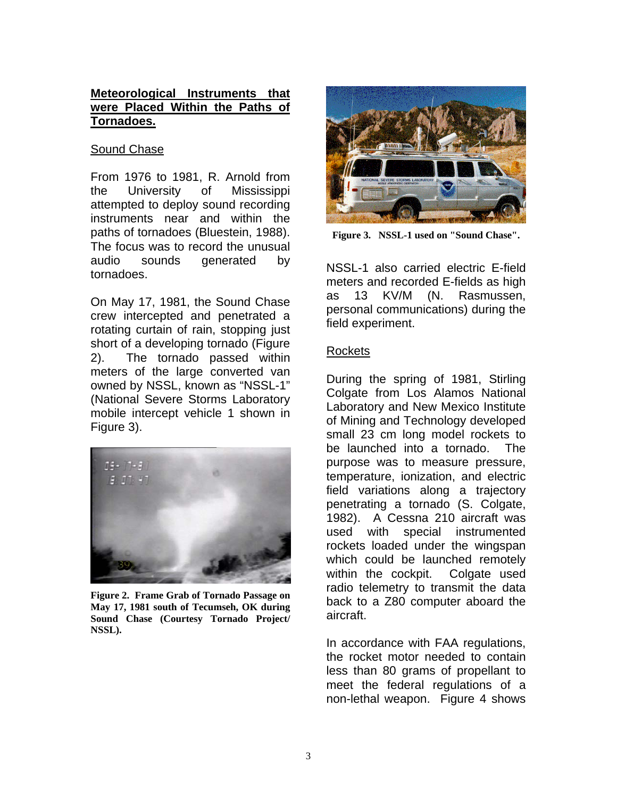# **Meteorological Instruments that were Placed Within the Paths of Tornadoes.**

### Sound Chase

From 1976 to 1981, R. Arnold from the University of Mississippi attempted to deploy sound recording instruments near and within the paths of tornadoes (Bluestein, 1988). The focus was to record the unusual audio sounds generated by tornadoes.

On May 17, 1981, the Sound Chase crew intercepted and penetrated a rotating curtain of rain, stopping just short of a developing tornado (Figure 2). The tornado passed within meters of the large converted van owned by NSSL, known as "NSSL-1" (National Severe Storms Laboratory mobile intercept vehicle 1 shown in Figure 3).



**Figure 2. Frame Grab of Tornado Passage on May 17, 1981 south of Tecumseh, OK during Sound Chase (Courtesy Tornado Project/ NSSL).**



**Figure 3. NSSL-1 used on "Sound Chase".** 

NSSL-1 also carried electric E-field meters and recorded E-fields as high as 13 KV/M (N. Rasmussen, personal communications) during the field experiment.

# **Rockets**

During the spring of 1981, Stirling Colgate from Los Alamos National Laboratory and New Mexico Institute of Mining and Technology developed small 23 cm long model rockets to be launched into a tornado. The purpose was to measure pressure, temperature, ionization, and electric field variations along a trajectory penetrating a tornado (S. Colgate, 1982). A Cessna 210 aircraft was used with special instrumented rockets loaded under the wingspan which could be launched remotely within the cockpit. Colgate used radio telemetry to transmit the data back to a Z80 computer aboard the aircraft.

In accordance with FAA regulations, the rocket motor needed to contain less than 80 grams of propellant to meet the federal regulations of a non-lethal weapon. Figure 4 shows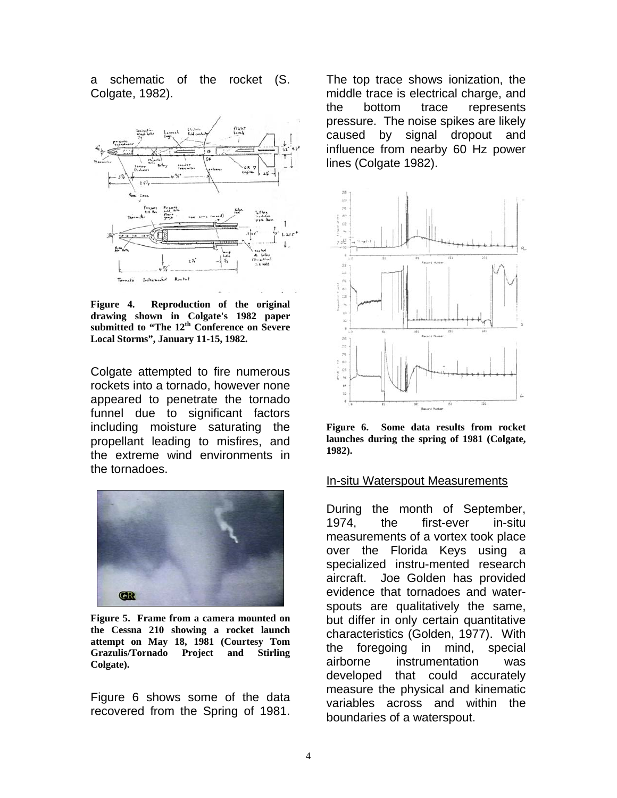a schematic of the rocket (S. Colgate, 1982).



**Figure 4. Reproduction of the original drawing shown in Colgate's 1982 paper** submitted to "The 12<sup>th</sup> Conference on Severe **Local Storms", January 11-15, 1982.** 

Colgate attempted to fire numerous rockets into a tornado, however none appeared to penetrate the tornado funnel due to significant factors including moisture saturating the propellant leading to misfires, and the extreme wind environments in the tornadoes.



**Figure 5. Frame from a camera mounted on the Cessna 210 showing a rocket launch attempt on May 18, 1981 (Courtesy Tom Grazulis/Tornado Project and Stirling Colgate).** 

Figure 6 shows some of the data recovered from the Spring of 1981.

The top trace shows ionization, the middle trace is electrical charge, and the bottom trace represents pressure. The noise spikes are likely caused by signal dropout and influence from nearby 60 Hz power lines (Colgate 1982).



**Figure 6. Some data results from rocket launches during the spring of 1981 (Colgate, 1982).**

#### In-situ Waterspout Measurements

During the month of September, 1974, the first-ever in-situ measurements of a vortex took place over the Florida Keys using a specialized instru-mented research aircraft. Joe Golden has provided evidence that tornadoes and waterspouts are qualitatively the same, but differ in only certain quantitative characteristics (Golden, 1977). With the foregoing in mind, special airborne instrumentation was developed that could accurately measure the physical and kinematic variables across and within the boundaries of a waterspout.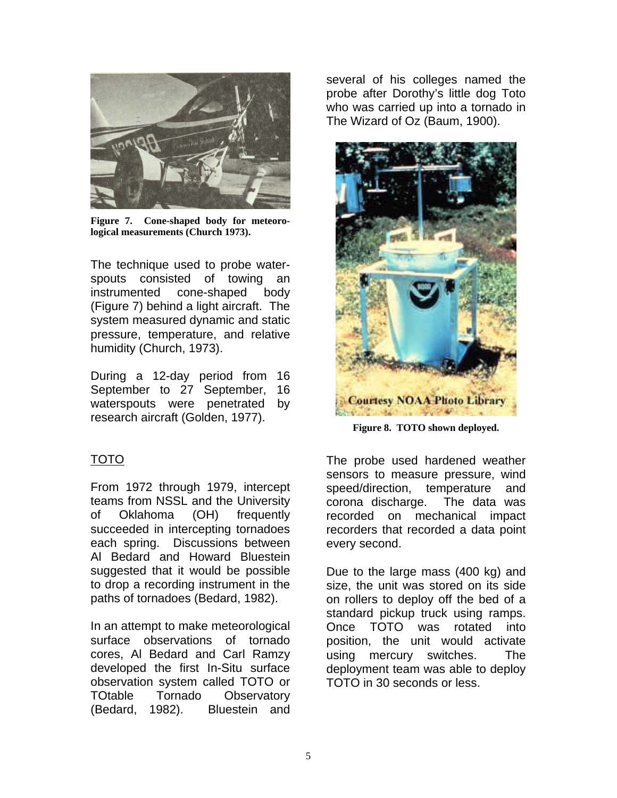

**Figure 7. Cone-shaped body for meteorological measurements (Church 1973).**

The technique used to probe waterspouts consisted of towing an instrumented cone-shaped body (Figure 7) behind a light aircraft. The system measured dynamic and static pressure, temperature, and relative humidity (Church, 1973).

During a 12-day period from 16 September to 27 September, 16 waterspouts were penetrated by research aircraft (Golden, 1977).

# TOTO

From 1972 through 1979, intercept teams from NSSL and the University of Oklahoma (OH) frequently succeeded in intercepting tornadoes each spring. Discussions between Al Bedard and Howard Bluestein suggested that it would be possible to drop a recording instrument in the paths of tornadoes (Bedard, 1982).

In an attempt to make meteorological surface observations of tornado cores, Al Bedard and Carl Ramzy developed the first In-Situ surface observation system called TOTO or TOtable Tornado Observatory (Bedard, 1982). Bluestein and several of his colleges named the probe after Dorothy's little dog Toto who was carried up into a tornado in The Wizard of Oz (Baum, 1900).



**Figure 8. TOTO shown deployed.**

The probe used hardened weather sensors to measure pressure, wind speed/direction, temperature and corona discharge. The data was recorded on mechanical impact recorders that recorded a data point every second.

Due to the large mass (400 kg) and size, the unit was stored on its side on rollers to deploy off the bed of a standard pickup truck using ramps. Once TOTO was rotated into position, the unit would activate using mercury switches. The deployment team was able to deploy TOTO in 30 seconds or less.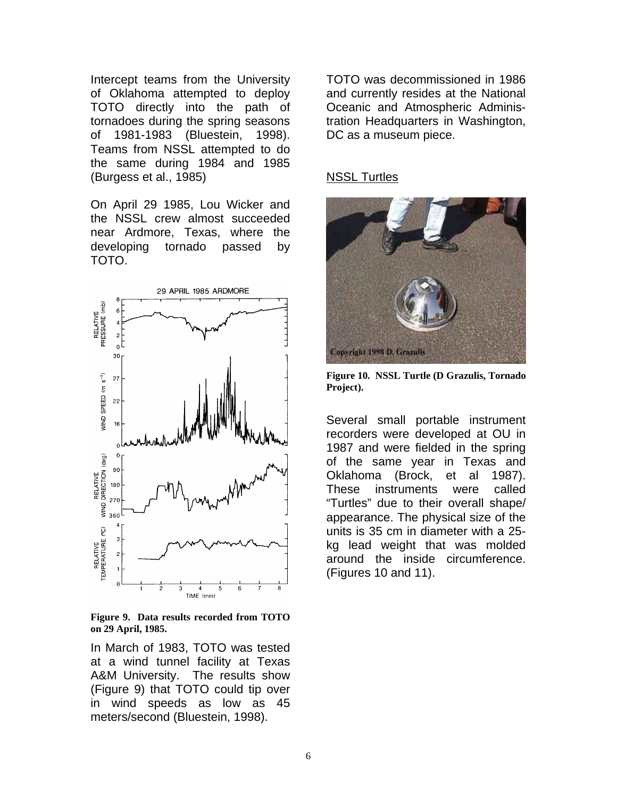Intercept teams from the University of Oklahoma attempted to deploy TOTO directly into the path of tornadoes during the spring seasons of 1981-1983 (Bluestein, 1998). Teams from NSSL attempted to do the same during 1984 and 1985 (Burgess et al., 1985)

On April 29 1985, Lou Wicker and the NSSL crew almost succeeded near Ardmore, Texas, where the developing tornado passed by TOTO.



**Figure 9. Data results recorded from TOTO on 29 April, 1985.**

In March of 1983, TOTO was tested at a wind tunnel facility at Texas A&M University. The results show (Figure 9) that TOTO could tip over in wind speeds as low as 45 meters/second (Bluestein, 1998).

TOTO was decommissioned in 1986 and currently resides at the National Oceanic and Atmospheric Administration Headquarters in Washington, DC as a museum piece.

# NSSL Turtles



**Figure 10. NSSL Turtle (D Grazulis, Tornado Project).**

Several small portable instrument recorders were developed at OU in 1987 and were fielded in the spring of the same year in Texas and Oklahoma (Brock, et al 1987). These instruments were called "Turtles" due to their overall shape/ appearance. The physical size of the units is 35 cm in diameter with a 25 kg lead weight that was molded around the inside circumference. (Figures 10 and 11).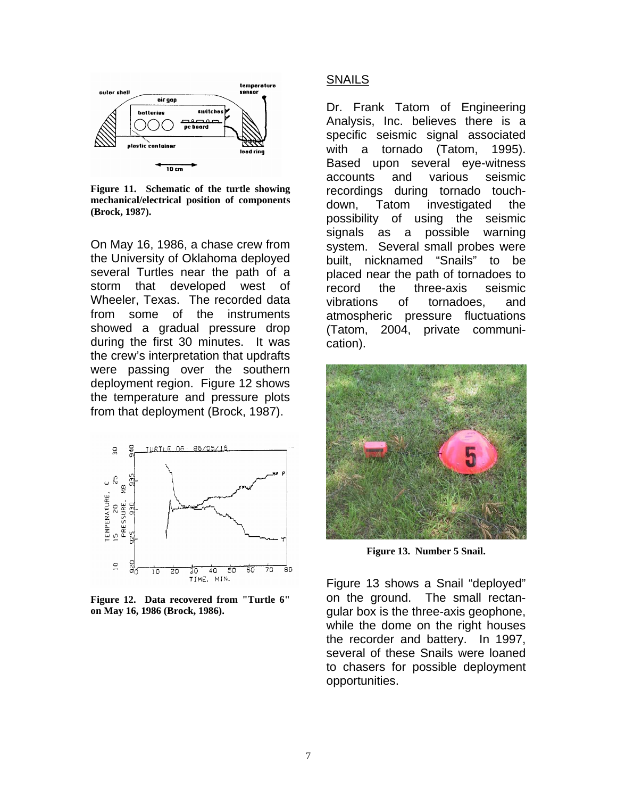

**Figure 11. Schematic of the turtle showing mechanical/electrical position of components (Brock, 1987).** 

On May 16, 1986, a chase crew from the University of Oklahoma deployed several Turtles near the path of a storm that developed west of Wheeler, Texas. The recorded data from some of the instruments showed a gradual pressure drop during the first 30 minutes. It was the crew's interpretation that updrafts were passing over the southern deployment region. Figure 12 shows the temperature and pressure plots from that deployment (Brock, 1987).



**Figure 12. Data recovered from "Turtle 6" on May 16, 1986 (Brock, 1986).** 

### SNAILS

Dr. Frank Tatom of Engineering Analysis, Inc. believes there is a specific seismic signal associated with a tornado (Tatom, 1995). Based upon several eye-witness accounts and various seismic recordings during tornado touchdown, Tatom investigated the possibility of using the seismic signals as a possible warning system. Several small probes were built, nicknamed "Snails" to be placed near the path of tornadoes to record the three-axis seismic vibrations of tornadoes, and atmospheric pressure fluctuations (Tatom, 2004, private communication).



**Figure 13. Number 5 Snail.**

Figure 13 shows a Snail "deployed" on the ground. The small rectangular box is the three-axis geophone, while the dome on the right houses the recorder and battery. In 1997, several of these Snails were loaned to chasers for possible deployment opportunities.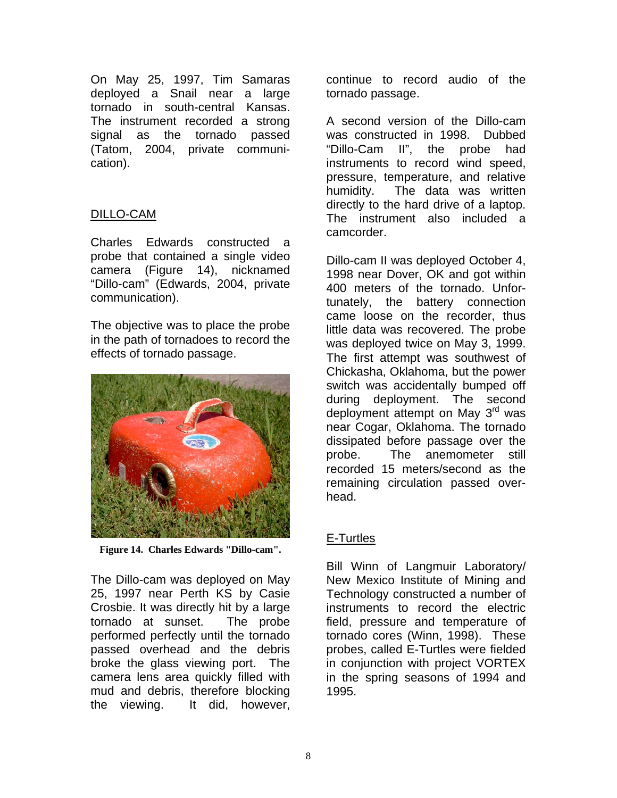On May 25, 1997, Tim Samaras deployed a Snail near a large tornado in south-central Kansas. The instrument recorded a strong signal as the tornado passed (Tatom, 2004, private communication).

# DILLO-CAM

Charles Edwards constructed a probe that contained a single video camera (Figure 14), nicknamed "Dillo-cam" (Edwards, 2004, private communication).

The objective was to place the probe in the path of tornadoes to record the effects of tornado passage.



**Figure 14. Charles Edwards "Dillo-cam".**

The Dillo-cam was deployed on May 25, 1997 near Perth KS by Casie Crosbie. It was directly hit by a large tornado at sunset. The probe performed perfectly until the tornado passed overhead and the debris broke the glass viewing port. The camera lens area quickly filled with mud and debris, therefore blocking the viewing. It did, however,

continue to record audio of the tornado passage.

A second version of the Dillo-cam was constructed in 1998. Dubbed "Dillo-Cam II", the probe had instruments to record wind speed, pressure, temperature, and relative humidity. The data was written directly to the hard drive of a laptop. The instrument also included a camcorder.

Dillo-cam II was deployed October 4, 1998 near Dover, OK and got within 400 meters of the tornado. Unfortunately, the battery connection came loose on the recorder, thus little data was recovered. The probe was deployed twice on May 3, 1999. The first attempt was southwest of Chickasha, Oklahoma, but the power switch was accidentally bumped off during deployment. The second deployment attempt on May 3<sup>rd</sup> was near Cogar, Oklahoma. The tornado dissipated before passage over the probe. The anemometer still recorded 15 meters/second as the remaining circulation passed overhead.

# E-Turtles

Bill Winn of Langmuir Laboratory/ New Mexico Institute of Mining and Technology constructed a number of instruments to record the electric field, pressure and temperature of tornado cores (Winn, 1998). These probes, called E-Turtles were fielded in conjunction with project VORTEX in the spring seasons of 1994 and 1995.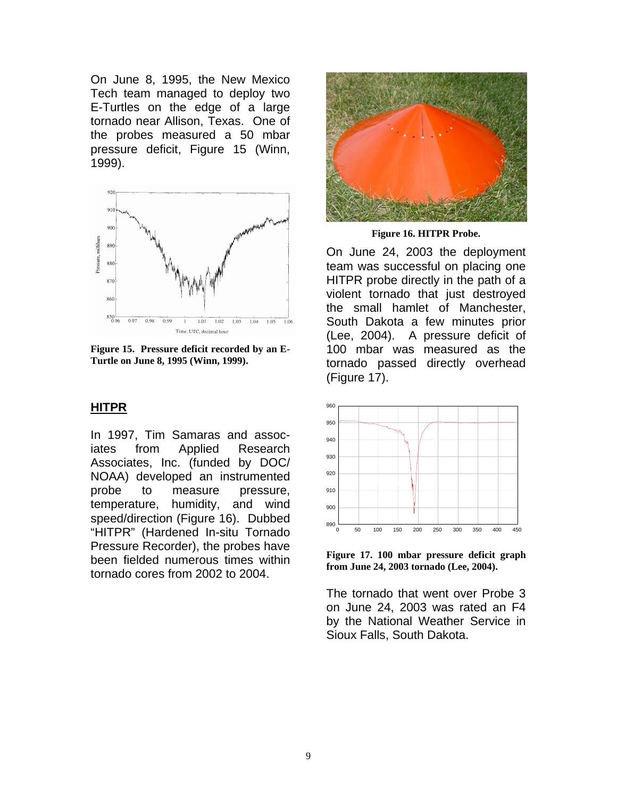On June 8, 1995, the New Mexico Tech team managed to deploy two E-Turtles on the edge of a large tornado near Allison, Texas. One of the probes measured a 50 mbar pressure deficit, Figure 15 (Winn, 1999).



**Figure 15. Pressure deficit recorded by an E-Turtle on June 8, 1995 (Winn, 1999).**

#### **HITPR**

In 1997, Tim Samaras and associates from Applied Research Associates, Inc. (funded by DOC/ NOAA) developed an instrumented probe to measure pressure, temperature, humidity, and wind speed/direction (Figure 16). Dubbed "HITPR" (Hardened In-situ Tornado Pressure Recorder), the probes have been fielded numerous times within tornado cores from 2002 to 2004.



**Figure 16. HITPR Probe.**

On June 24, 2003 the deployment team was successful on placing one HITPR probe directly in the path of a violent tornado that just destroyed the small hamlet of Manchester, South Dakota a few minutes prior (Lee, 2004). A pressure deficit of 100 mbar was measured as the tornado passed directly overhead (Figure 17).



**Figure 17. 100 mbar pressure deficit graph from June 24, 2003 tornado (Lee, 2004).** 

The tornado that went over Probe 3 on June 24, 2003 was rated an F4 by the National Weather Service in Sioux Falls, South Dakota.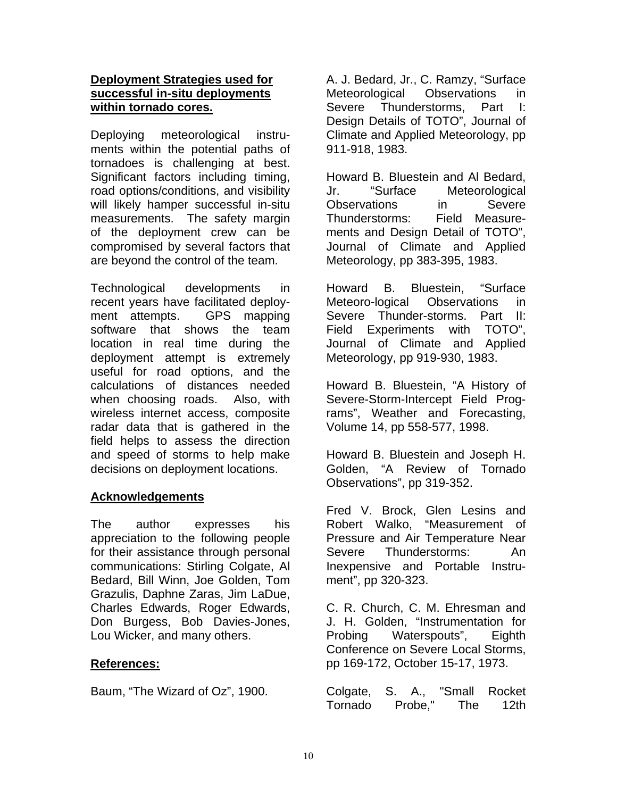# **Deployment Strategies used for successful in-situ deployments within tornado cores.**

Deploying meteorological instruments within the potential paths of tornadoes is challenging at best. Significant factors including timing, road options/conditions, and visibility will likely hamper successful in-situ measurements. The safety margin of the deployment crew can be compromised by several factors that are beyond the control of the team.

Technological developments in recent years have facilitated deployment attempts. GPS mapping software that shows the team location in real time during the deployment attempt is extremely useful for road options, and the calculations of distances needed when choosing roads. Also, with wireless internet access, composite radar data that is gathered in the field helps to assess the direction and speed of storms to help make decisions on deployment locations.

# **Acknowledgements**

The author expresses his appreciation to the following people for their assistance through personal communications: Stirling Colgate, Al Bedard, Bill Winn, Joe Golden, Tom Grazulis, Daphne Zaras, Jim LaDue, Charles Edwards, Roger Edwards, Don Burgess, Bob Davies-Jones, Lou Wicker, and many others.

# **References:**

Baum, "The Wizard of Oz", 1900.

A. J. Bedard, Jr., C. Ramzy, "Surface Meteorological Observations in Severe Thunderstorms, Part I: Design Details of TOTO", Journal of Climate and Applied Meteorology, pp 911-918, 1983.

Howard B. Bluestein and Al Bedard, Jr. "Surface Meteorological Observations in Severe Thunderstorms: Field Measurements and Design Detail of TOTO", Journal of Climate and Applied Meteorology, pp 383-395, 1983.

Howard B. Bluestein, "Surface Meteoro-logical Observations in Severe Thunder-storms. Part II: Field Experiments with TOTO", Journal of Climate and Applied Meteorology, pp 919-930, 1983.

Howard B. Bluestein, "A History of Severe-Storm-Intercept Field Programs", Weather and Forecasting, Volume 14, pp 558-577, 1998.

Howard B. Bluestein and Joseph H. Golden, "A Review of Tornado Observations", pp 319-352.

Fred V. Brock, Glen Lesins and Robert Walko, "Measurement of Pressure and Air Temperature Near Severe Thunderstorms: An Inexpensive and Portable Instrument", pp 320-323.

C. R. Church, C. M. Ehresman and J. H. Golden, "Instrumentation for Probing Waterspouts", Eighth Conference on Severe Local Storms, pp 169-172, October 15-17, 1973.

Colgate, S. A., "Small Rocket Tornado Probe," The 12th